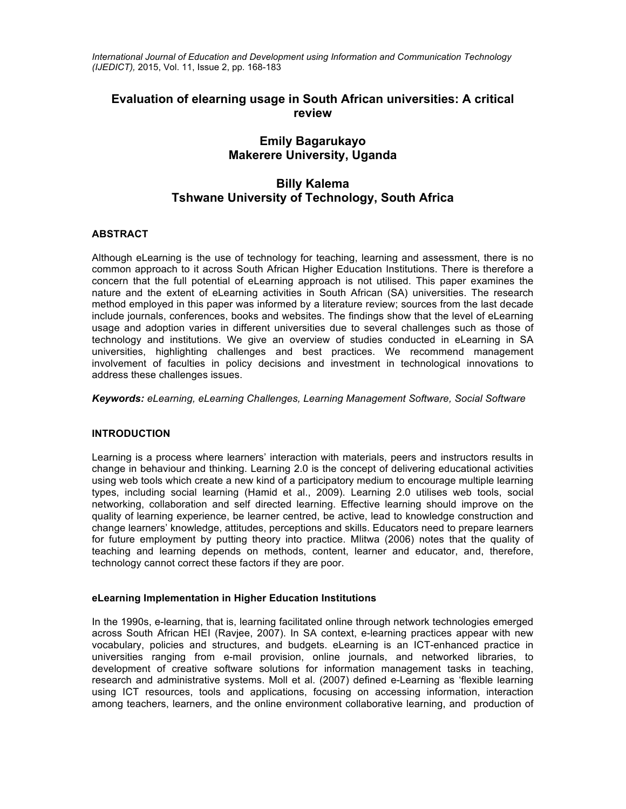*International Journal of Education and Development using Information and Communication Technology (IJEDICT),* 2015, Vol. 11, Issue 2, pp. 168-183

# **Evaluation of elearning usage in South African universities: A critical review**

# **Emily Bagarukayo Makerere University, Uganda**

# **Billy Kalema Tshwane University of Technology, South Africa**

# **ABSTRACT**

Although eLearning is the use of technology for teaching, learning and assessment, there is no common approach to it across South African Higher Education Institutions. There is therefore a concern that the full potential of eLearning approach is not utilised. This paper examines the nature and the extent of eLearning activities in South African (SA) universities. The research method employed in this paper was informed by a literature review; sources from the last decade include journals, conferences, books and websites. The findings show that the level of eLearning usage and adoption varies in different universities due to several challenges such as those of technology and institutions. We give an overview of studies conducted in eLearning in SA universities, highlighting challenges and best practices. We recommend management involvement of faculties in policy decisions and investment in technological innovations to address these challenges issues.

*Keywords: eLearning, eLearning Challenges, Learning Management Software, Social Software*

# **INTRODUCTION**

Learning is a process where learners' interaction with materials, peers and instructors results in change in behaviour and thinking. Learning 2.0 is the concept of delivering educational activities using web tools which create a new kind of a participatory medium to encourage multiple learning types, including social learning (Hamid et al., 2009). Learning 2.0 utilises web tools, social networking, collaboration and self directed learning. Effective learning should improve on the quality of learning experience, be learner centred, be active, lead to knowledge construction and change learners' knowledge, attitudes, perceptions and skills. Educators need to prepare learners for future employment by putting theory into practice. Mlitwa (2006) notes that the quality of teaching and learning depends on methods, content, learner and educator, and, therefore, technology cannot correct these factors if they are poor.

# **eLearning Implementation in Higher Education Institutions**

In the 1990s, e-learning, that is, learning facilitated online through network technologies emerged across South African HEI (Ravjee, 2007). In SA context, e-learning practices appear with new vocabulary, policies and structures, and budgets. eLearning is an ICT-enhanced practice in universities ranging from e-mail provision, online journals, and networked libraries, to development of creative software solutions for information management tasks in teaching, research and administrative systems. Moll et al. (2007) defined e-Learning as 'flexible learning using ICT resources, tools and applications, focusing on accessing information, interaction among teachers, learners, and the online environment collaborative learning, and production of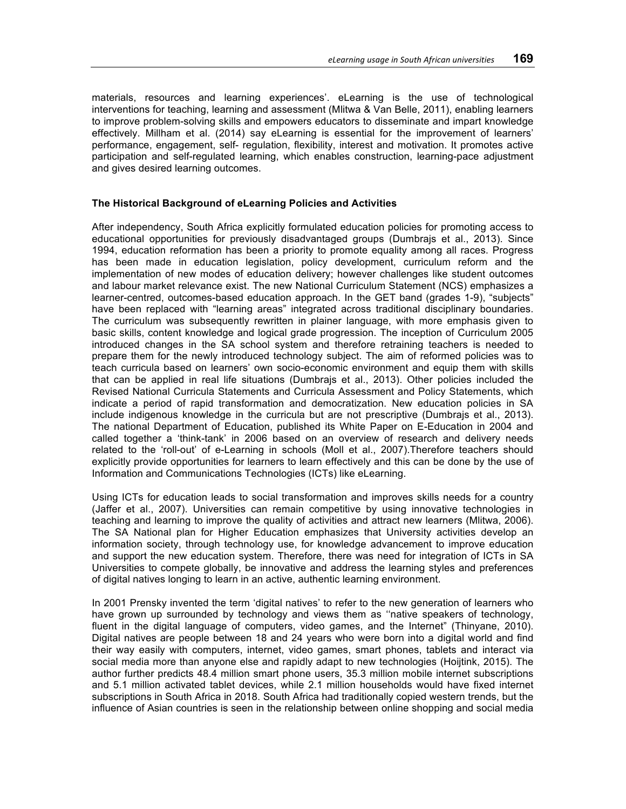materials, resources and learning experiences'. eLearning is the use of technological interventions for teaching, learning and assessment (Mlitwa & Van Belle, 2011), enabling learners to improve problem-solving skills and empowers educators to disseminate and impart knowledge effectively. Millham et al. (2014) say eLearning is essential for the improvement of learners' performance, engagement, self- regulation, flexibility, interest and motivation. It promotes active participation and self-regulated learning, which enables construction, learning-pace adjustment and gives desired learning outcomes.

### **The Historical Background of eLearning Policies and Activities**

After independency, South Africa explicitly formulated education policies for promoting access to educational opportunities for previously disadvantaged groups (Dumbrajs et al., 2013). Since 1994, education reformation has been a priority to promote equality among all races. Progress has been made in education legislation, policy development, curriculum reform and the implementation of new modes of education delivery; however challenges like student outcomes and labour market relevance exist. The new National Curriculum Statement (NCS) emphasizes a learner-centred, outcomes-based education approach. In the GET band (grades 1-9), "subjects" have been replaced with "learning areas" integrated across traditional disciplinary boundaries. The curriculum was subsequently rewritten in plainer language, with more emphasis given to basic skills, content knowledge and logical grade progression. The inception of Curriculum 2005 introduced changes in the SA school system and therefore retraining teachers is needed to prepare them for the newly introduced technology subject. The aim of reformed policies was to teach curricula based on learners' own socio-economic environment and equip them with skills that can be applied in real life situations (Dumbrajs et al., 2013). Other policies included the Revised National Curricula Statements and Curricula Assessment and Policy Statements, which indicate a period of rapid transformation and democratization. New education policies in SA include indigenous knowledge in the curricula but are not prescriptive (Dumbrajs et al., 2013). The national Department of Education, published its White Paper on E-Education in 2004 and called together a 'think-tank' in 2006 based on an overview of research and delivery needs related to the 'roll-out' of e-Learning in schools (Moll et al., 2007).Therefore teachers should explicitly provide opportunities for learners to learn effectively and this can be done by the use of Information and Communications Technologies (ICTs) like eLearning.

Using ICTs for education leads to social transformation and improves skills needs for a country (Jaffer et al., 2007). Universities can remain competitive by using innovative technologies in teaching and learning to improve the quality of activities and attract new learners (Mlitwa, 2006). The SA National plan for Higher Education emphasizes that University activities develop an information society, through technology use, for knowledge advancement to improve education and support the new education system. Therefore, there was need for integration of ICTs in SA Universities to compete globally, be innovative and address the learning styles and preferences of digital natives longing to learn in an active, authentic learning environment.

In 2001 Prensky invented the term 'digital natives' to refer to the new generation of learners who have grown up surrounded by technology and views them as ''native speakers of technology, fluent in the digital language of computers, video games, and the Internet" (Thinyane, 2010). Digital natives are people between 18 and 24 years who were born into a digital world and find their way easily with computers, internet, video games, smart phones, tablets and interact via social media more than anyone else and rapidly adapt to new technologies (Hoijtink, 2015). The author further predicts 48.4 million smart phone users, 35.3 million mobile internet subscriptions and 5.1 million activated tablet devices, while 2.1 million households would have fixed internet subscriptions in South Africa in 2018. South Africa had traditionally copied western trends, but the influence of Asian countries is seen in the relationship between online shopping and social media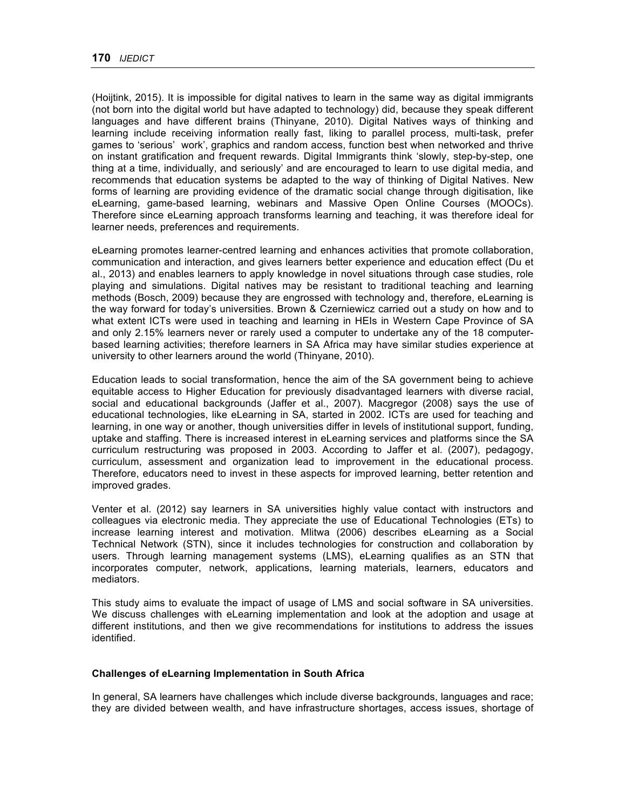(Hoijtink, 2015). It is impossible for digital natives to learn in the same way as digital immigrants (not born into the digital world but have adapted to technology) did, because they speak different languages and have different brains (Thinyane, 2010). Digital Natives ways of thinking and learning include receiving information really fast, liking to parallel process, multi-task, prefer games to 'serious' work', graphics and random access, function best when networked and thrive on instant gratification and frequent rewards. Digital Immigrants think 'slowly, step-by-step, one thing at a time, individually, and seriously' and are encouraged to learn to use digital media, and recommends that education systems be adapted to the way of thinking of Digital Natives. New forms of learning are providing evidence of the dramatic social change through digitisation, like eLearning, game-based learning, webinars and Massive Open Online Courses (MOOCs). Therefore since eLearning approach transforms learning and teaching, it was therefore ideal for learner needs, preferences and requirements.

eLearning promotes learner-centred learning and enhances activities that promote collaboration, communication and interaction, and gives learners better experience and education effect (Du et al., 2013) and enables learners to apply knowledge in novel situations through case studies, role playing and simulations. Digital natives may be resistant to traditional teaching and learning methods (Bosch, 2009) because they are engrossed with technology and, therefore, eLearning is the way forward for today's universities. Brown & Czerniewicz carried out a study on how and to what extent ICTs were used in teaching and learning in HEIs in Western Cape Province of SA and only 2.15% learners never or rarely used a computer to undertake any of the 18 computerbased learning activities; therefore learners in SA Africa may have similar studies experience at university to other learners around the world (Thinyane, 2010).

Education leads to social transformation, hence the aim of the SA government being to achieve equitable access to Higher Education for previously disadvantaged learners with diverse racial, social and educational backgrounds (Jaffer et al., 2007). Macgregor (2008) says the use of educational technologies, like eLearning in SA, started in 2002. ICTs are used for teaching and learning, in one way or another, though universities differ in levels of institutional support, funding, uptake and staffing. There is increased interest in eLearning services and platforms since the SA curriculum restructuring was proposed in 2003. According to Jaffer et al. (2007), pedagogy, curriculum, assessment and organization lead to improvement in the educational process. Therefore, educators need to invest in these aspects for improved learning, better retention and improved grades.

Venter et al. (2012) say learners in SA universities highly value contact with instructors and colleagues via electronic media. They appreciate the use of Educational Technologies (ETs) to increase learning interest and motivation. Mlitwa (2006) describes eLearning as a Social Technical Network (STN), since it includes technologies for construction and collaboration by users. Through learning management systems (LMS), eLearning qualifies as an STN that incorporates computer, network, applications, learning materials, learners, educators and mediators.

This study aims to evaluate the impact of usage of LMS and social software in SA universities. We discuss challenges with eLearning implementation and look at the adoption and usage at different institutions, and then we give recommendations for institutions to address the issues identified.

## **Challenges of eLearning Implementation in South Africa**

In general, SA learners have challenges which include diverse backgrounds, languages and race; they are divided between wealth, and have infrastructure shortages, access issues, shortage of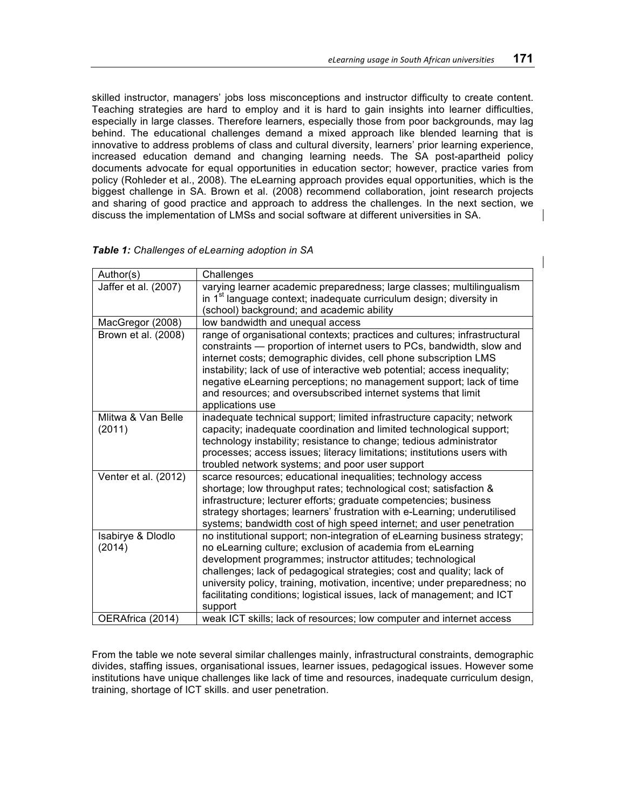skilled instructor, managers' jobs loss misconceptions and instructor difficulty to create content. Teaching strategies are hard to employ and it is hard to gain insights into learner difficulties, especially in large classes. Therefore learners, especially those from poor backgrounds, may lag behind. The educational challenges demand a mixed approach like blended learning that is innovative to address problems of class and cultural diversity, learners' prior learning experience, increased education demand and changing learning needs. The SA post-apartheid policy documents advocate for equal opportunities in education sector; however, practice varies from policy (Rohleder et al., 2008). The eLearning approach provides equal opportunities, which is the biggest challenge in SA. Brown et al. (2008) recommend collaboration, joint research projects and sharing of good practice and approach to address the challenges. In the next section, we discuss the implementation of LMSs and social software at different universities in SA.

| Author(s)                    | Challenges                                                                                                                                                                                                                                                                                                                                                                                                                                                       |
|------------------------------|------------------------------------------------------------------------------------------------------------------------------------------------------------------------------------------------------------------------------------------------------------------------------------------------------------------------------------------------------------------------------------------------------------------------------------------------------------------|
| Jaffer et al. (2007)         | varying learner academic preparedness; large classes; multilingualism<br>in 1 <sup>st</sup> language context; inadequate curriculum design; diversity in<br>(school) background; and academic ability                                                                                                                                                                                                                                                            |
| MacGregor (2008)             | low bandwidth and unequal access                                                                                                                                                                                                                                                                                                                                                                                                                                 |
| Brown et al. (2008)          | range of organisational contexts; practices and cultures; infrastructural<br>constraints — proportion of internet users to PCs, bandwidth, slow and<br>internet costs; demographic divides, cell phone subscription LMS<br>instability; lack of use of interactive web potential; access inequality;<br>negative eLearning perceptions; no management support; lack of time<br>and resources; and oversubscribed internet systems that limit<br>applications use |
| Mlitwa & Van Belle<br>(2011) | inadequate technical support; limited infrastructure capacity; network<br>capacity; inadequate coordination and limited technological support;<br>technology instability; resistance to change; tedious administrator<br>processes; access issues; literacy limitations; institutions users with<br>troubled network systems; and poor user support                                                                                                              |
| Venter et al. (2012)         | scarce resources; educational inequalities; technology access<br>shortage; low throughput rates; technological cost; satisfaction &<br>infrastructure; lecturer efforts; graduate competencies; business<br>strategy shortages; learners' frustration with e-Learning; underutilised<br>systems; bandwidth cost of high speed internet; and user penetration                                                                                                     |
| Isabirye & Dlodlo<br>(2014)  | no institutional support; non-integration of eLearning business strategy;<br>no eLearning culture; exclusion of academia from eLearning<br>development programmes; instructor attitudes; technological<br>challenges; lack of pedagogical strategies; cost and quality; lack of<br>university policy, training, motivation, incentive; under preparedness; no<br>facilitating conditions; logistical issues, lack of management; and ICT<br>support              |
| OERAfrica (2014)             | weak ICT skills; lack of resources; low computer and internet access                                                                                                                                                                                                                                                                                                                                                                                             |

*Table 1: Challenges of eLearning adoption in SA*

From the table we note several similar challenges mainly, infrastructural constraints, demographic divides, staffing issues, organisational issues, learner issues, pedagogical issues. However some institutions have unique challenges like lack of time and resources, inadequate curriculum design, training, shortage of ICT skills. and user penetration.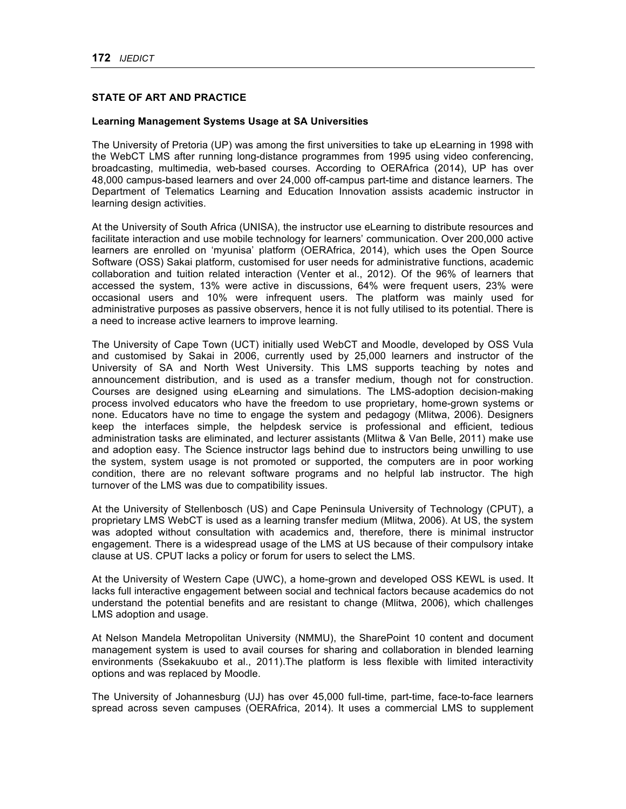# **STATE OF ART AND PRACTICE**

## **Learning Management Systems Usage at SA Universities**

The University of Pretoria (UP) was among the first universities to take up eLearning in 1998 with the WebCT LMS after running long-distance programmes from 1995 using video conferencing, broadcasting, multimedia, web-based courses. According to OERAfrica (2014), UP has over 48,000 campus-based learners and over 24,000 off-campus part-time and distance learners. The Department of Telematics Learning and Education Innovation assists academic instructor in learning design activities.

At the University of South Africa (UNISA), the instructor use eLearning to distribute resources and facilitate interaction and use mobile technology for learners' communication. Over 200,000 active learners are enrolled on 'myunisa' platform (OERAfrica, 2014), which uses the Open Source Software (OSS) Sakai platform, customised for user needs for administrative functions, academic collaboration and tuition related interaction (Venter et al., 2012). Of the 96% of learners that accessed the system, 13% were active in discussions, 64% were frequent users, 23% were occasional users and 10% were infrequent users. The platform was mainly used for administrative purposes as passive observers, hence it is not fully utilised to its potential. There is a need to increase active learners to improve learning.

The University of Cape Town (UCT) initially used WebCT and Moodle, developed by OSS Vula and customised by Sakai in 2006, currently used by 25,000 learners and instructor of the University of SA and North West University. This LMS supports teaching by notes and announcement distribution, and is used as a transfer medium, though not for construction. Courses are designed using eLearning and simulations. The LMS-adoption decision-making process involved educators who have the freedom to use proprietary, home-grown systems or none. Educators have no time to engage the system and pedagogy (Mlitwa, 2006). Designers keep the interfaces simple, the helpdesk service is professional and efficient, tedious administration tasks are eliminated, and lecturer assistants (Mlitwa & Van Belle, 2011) make use and adoption easy. The Science instructor lags behind due to instructors being unwilling to use the system, system usage is not promoted or supported, the computers are in poor working condition, there are no relevant software programs and no helpful lab instructor. The high turnover of the LMS was due to compatibility issues.

At the University of Stellenbosch (US) and Cape Peninsula University of Technology (CPUT), a proprietary LMS WebCT is used as a learning transfer medium (Mlitwa, 2006). At US, the system was adopted without consultation with academics and, therefore, there is minimal instructor engagement. There is a widespread usage of the LMS at US because of their compulsory intake clause at US. CPUT lacks a policy or forum for users to select the LMS.

At the University of Western Cape (UWC), a home-grown and developed OSS KEWL is used. It lacks full interactive engagement between social and technical factors because academics do not understand the potential benefits and are resistant to change (Mlitwa, 2006), which challenges LMS adoption and usage.

At Nelson Mandela Metropolitan University (NMMU), the SharePoint 10 content and document management system is used to avail courses for sharing and collaboration in blended learning environments (Ssekakuubo et al., 2011).The platform is less flexible with limited interactivity options and was replaced by Moodle.

The University of Johannesburg (UJ) has over 45,000 full-time, part-time, face-to-face learners spread across seven campuses (OERAfrica, 2014). It uses a commercial LMS to supplement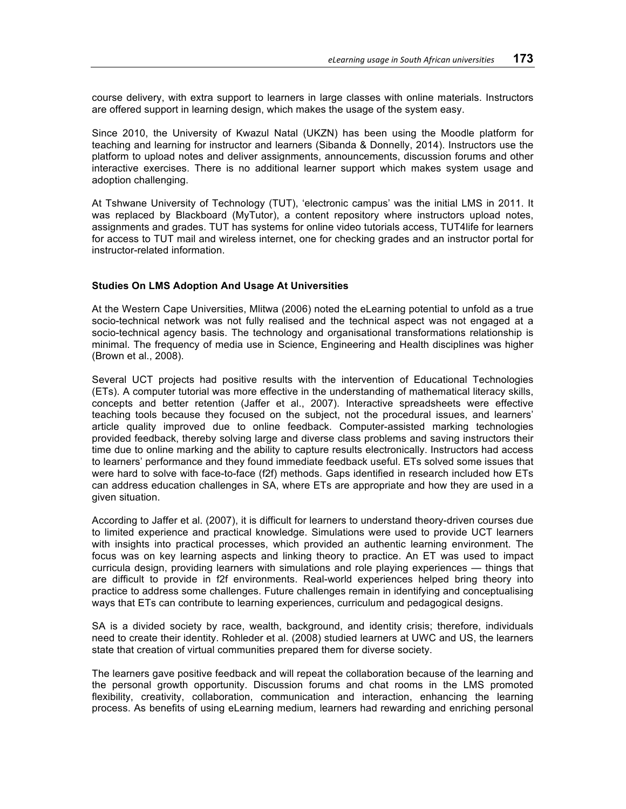course delivery, with extra support to learners in large classes with online materials. Instructors are offered support in learning design, which makes the usage of the system easy.

Since 2010, the University of Kwazul Natal (UKZN) has been using the Moodle platform for teaching and learning for instructor and learners (Sibanda & Donnelly, 2014). Instructors use the platform to upload notes and deliver assignments, announcements, discussion forums and other interactive exercises. There is no additional learner support which makes system usage and adoption challenging.

At Tshwane University of Technology (TUT), 'electronic campus' was the initial LMS in 2011. It was replaced by Blackboard (MyTutor), a content repository where instructors upload notes, assignments and grades. TUT has systems for online video tutorials access, TUT4life for learners for access to TUT mail and wireless internet, one for checking grades and an instructor portal for instructor-related information.

## **Studies On LMS Adoption And Usage At Universities**

At the Western Cape Universities, Mlitwa (2006) noted the eLearning potential to unfold as a true socio-technical network was not fully realised and the technical aspect was not engaged at a socio-technical agency basis. The technology and organisational transformations relationship is minimal. The frequency of media use in Science, Engineering and Health disciplines was higher (Brown et al., 2008).

Several UCT projects had positive results with the intervention of Educational Technologies (ETs). A computer tutorial was more effective in the understanding of mathematical literacy skills, concepts and better retention (Jaffer et al., 2007). Interactive spreadsheets were effective teaching tools because they focused on the subject, not the procedural issues, and learners' article quality improved due to online feedback. Computer-assisted marking technologies provided feedback, thereby solving large and diverse class problems and saving instructors their time due to online marking and the ability to capture results electronically. Instructors had access to learners' performance and they found immediate feedback useful. ETs solved some issues that were hard to solve with face-to-face (f2f) methods. Gaps identified in research included how ETs can address education challenges in SA, where ETs are appropriate and how they are used in a given situation.

According to Jaffer et al. (2007), it is difficult for learners to understand theory-driven courses due to limited experience and practical knowledge. Simulations were used to provide UCT learners with insights into practical processes, which provided an authentic learning environment. The focus was on key learning aspects and linking theory to practice. An ET was used to impact curricula design, providing learners with simulations and role playing experiences — things that are difficult to provide in f2f environments. Real-world experiences helped bring theory into practice to address some challenges. Future challenges remain in identifying and conceptualising ways that ETs can contribute to learning experiences, curriculum and pedagogical designs.

SA is a divided society by race, wealth, background, and identity crisis; therefore, individuals need to create their identity. Rohleder et al. (2008) studied learners at UWC and US, the learners state that creation of virtual communities prepared them for diverse society.

The learners gave positive feedback and will repeat the collaboration because of the learning and the personal growth opportunity. Discussion forums and chat rooms in the LMS promoted flexibility, creativity, collaboration, communication and interaction, enhancing the learning process. As benefits of using eLearning medium, learners had rewarding and enriching personal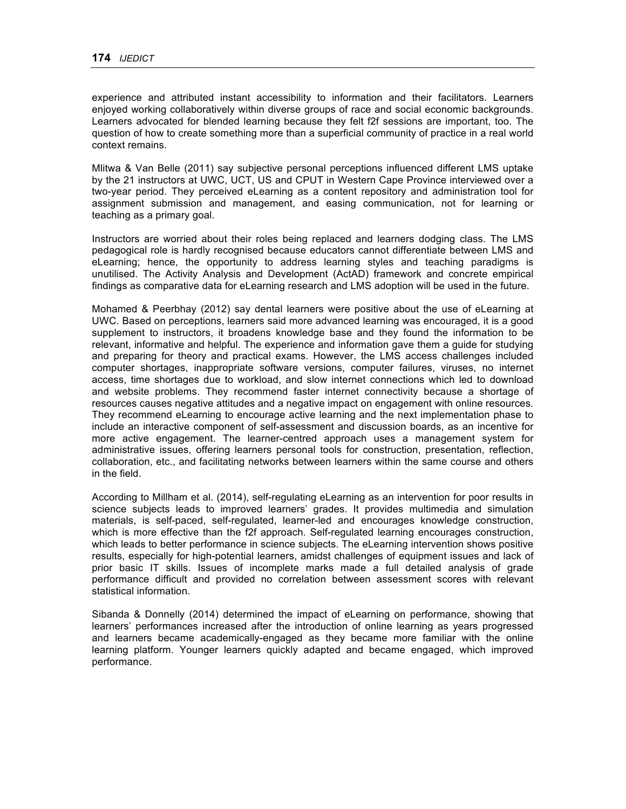experience and attributed instant accessibility to information and their facilitators. Learners enjoyed working collaboratively within diverse groups of race and social economic backgrounds. Learners advocated for blended learning because they felt f2f sessions are important, too. The question of how to create something more than a superficial community of practice in a real world context remains.

Mlitwa & Van Belle (2011) say subjective personal perceptions influenced different LMS uptake by the 21 instructors at UWC, UCT, US and CPUT in Western Cape Province interviewed over a two-year period. They perceived eLearning as a content repository and administration tool for assignment submission and management, and easing communication, not for learning or teaching as a primary goal.

Instructors are worried about their roles being replaced and learners dodging class. The LMS pedagogical role is hardly recognised because educators cannot differentiate between LMS and eLearning; hence, the opportunity to address learning styles and teaching paradigms is unutilised. The Activity Analysis and Development (ActAD) framework and concrete empirical findings as comparative data for eLearning research and LMS adoption will be used in the future.

Mohamed & Peerbhay (2012) say dental learners were positive about the use of eLearning at UWC. Based on perceptions, learners said more advanced learning was encouraged, it is a good supplement to instructors, it broadens knowledge base and they found the information to be relevant, informative and helpful. The experience and information gave them a guide for studying and preparing for theory and practical exams. However, the LMS access challenges included computer shortages, inappropriate software versions, computer failures, viruses, no internet access, time shortages due to workload, and slow internet connections which led to download and website problems. They recommend faster internet connectivity because a shortage of resources causes negative attitudes and a negative impact on engagement with online resources. They recommend eLearning to encourage active learning and the next implementation phase to include an interactive component of self-assessment and discussion boards, as an incentive for more active engagement. The learner-centred approach uses a management system for administrative issues, offering learners personal tools for construction, presentation, reflection, collaboration, etc., and facilitating networks between learners within the same course and others in the field.

According to Millham et al. (2014), self-regulating eLearning as an intervention for poor results in science subjects leads to improved learners' grades. It provides multimedia and simulation materials, is self-paced, self-regulated, learner-led and encourages knowledge construction, which is more effective than the f2f approach. Self-regulated learning encourages construction, which leads to better performance in science subjects. The eLearning intervention shows positive results, especially for high-potential learners, amidst challenges of equipment issues and lack of prior basic IT skills. Issues of incomplete marks made a full detailed analysis of grade performance difficult and provided no correlation between assessment scores with relevant statistical information.

Sibanda & Donnelly (2014) determined the impact of eLearning on performance, showing that learners' performances increased after the introduction of online learning as years progressed and learners became academically-engaged as they became more familiar with the online learning platform. Younger learners quickly adapted and became engaged, which improved performance.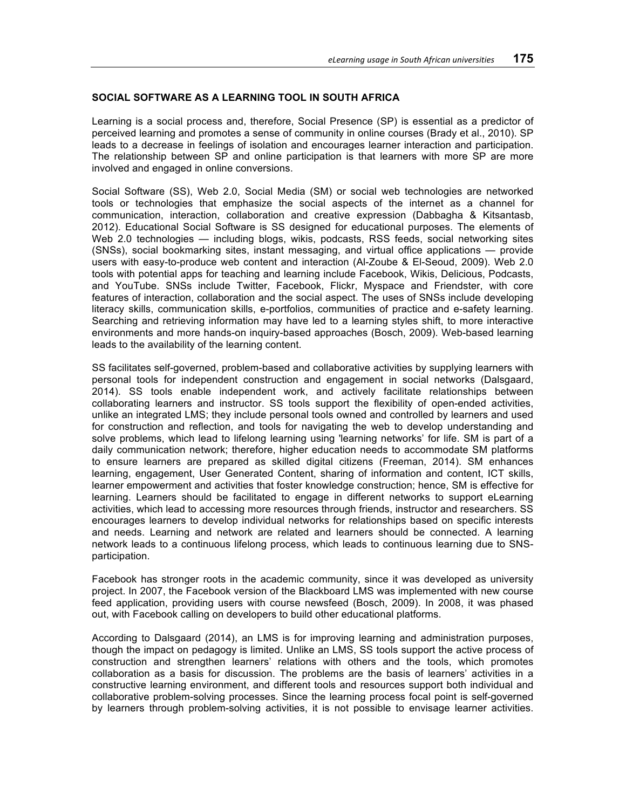# **SOCIAL SOFTWARE AS A LEARNING TOOL IN SOUTH AFRICA**

Learning is a social process and, therefore, Social Presence (SP) is essential as a predictor of perceived learning and promotes a sense of community in online courses (Brady et al., 2010). SP leads to a decrease in feelings of isolation and encourages learner interaction and participation. The relationship between SP and online participation is that learners with more SP are more involved and engaged in online conversions.

Social Software (SS), Web 2.0, Social Media (SM) or social web technologies are networked tools or technologies that emphasize the social aspects of the internet as a channel for communication, interaction, collaboration and creative expression (Dabbagha & Kitsantasb, 2012). Educational Social Software is SS designed for educational purposes. The elements of Web 2.0 technologies — including blogs, wikis, podcasts, RSS feeds, social networking sites (SNSs), social bookmarking sites, instant messaging, and virtual office applications — provide users with easy-to-produce web content and interaction (Al-Zoube & El-Seoud, 2009). Web 2.0 tools with potential apps for teaching and learning include Facebook, Wikis, Delicious, Podcasts, and YouTube. SNSs include Twitter, Facebook, Flickr, Myspace and Friendster, with core features of interaction, collaboration and the social aspect. The uses of SNSs include developing literacy skills, communication skills, e-portfolios, communities of practice and e-safety learning. Searching and retrieving information may have led to a learning styles shift, to more interactive environments and more hands-on inquiry-based approaches (Bosch, 2009). Web-based learning leads to the availability of the learning content.

SS facilitates self-governed, problem-based and collaborative activities by supplying learners with personal tools for independent construction and engagement in social networks (Dalsgaard, 2014). SS tools enable independent work, and actively facilitate relationships between collaborating learners and instructor. SS tools support the flexibility of open-ended activities, unlike an integrated LMS; they include personal tools owned and controlled by learners and used for construction and reflection, and tools for navigating the web to develop understanding and solve problems, which lead to lifelong learning using 'learning networks' for life. SM is part of a daily communication network; therefore, higher education needs to accommodate SM platforms to ensure learners are prepared as skilled digital citizens (Freeman, 2014). SM enhances learning, engagement, User Generated Content, sharing of information and content, ICT skills, learner empowerment and activities that foster knowledge construction; hence, SM is effective for learning. Learners should be facilitated to engage in different networks to support eLearning activities, which lead to accessing more resources through friends, instructor and researchers. SS encourages learners to develop individual networks for relationships based on specific interests and needs. Learning and network are related and learners should be connected. A learning network leads to a continuous lifelong process, which leads to continuous learning due to SNSparticipation.

Facebook has stronger roots in the academic community, since it was developed as university project. In 2007, the Facebook version of the Blackboard LMS was implemented with new course feed application, providing users with course newsfeed (Bosch, 2009). In 2008, it was phased out, with Facebook calling on developers to build other educational platforms.

According to Dalsgaard (2014), an LMS is for improving learning and administration purposes, though the impact on pedagogy is limited. Unlike an LMS, SS tools support the active process of construction and strengthen learners' relations with others and the tools, which promotes collaboration as a basis for discussion. The problems are the basis of learners' activities in a constructive learning environment, and different tools and resources support both individual and collaborative problem-solving processes. Since the learning process focal point is self-governed by learners through problem-solving activities, it is not possible to envisage learner activities.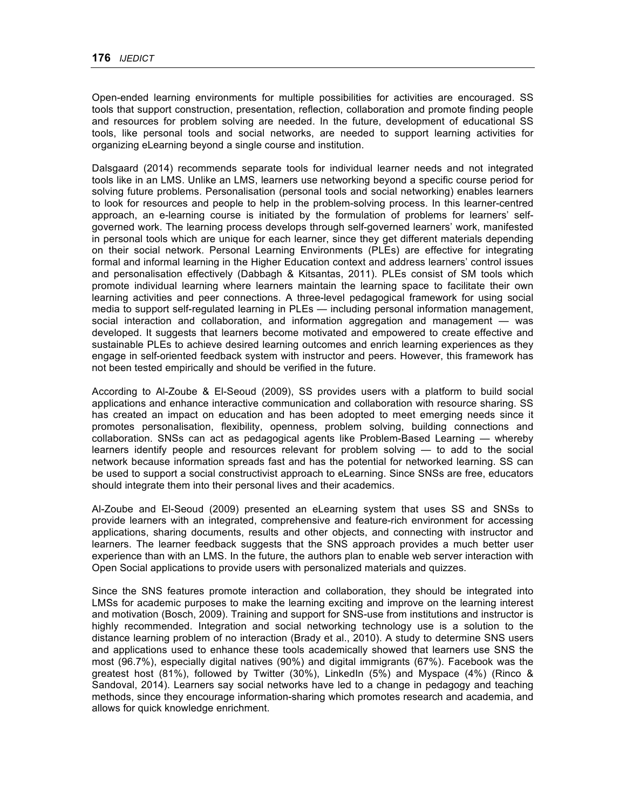Open-ended learning environments for multiple possibilities for activities are encouraged. SS tools that support construction, presentation, reflection, collaboration and promote finding people and resources for problem solving are needed. In the future, development of educational SS tools, like personal tools and social networks, are needed to support learning activities for organizing eLearning beyond a single course and institution.

Dalsgaard (2014) recommends separate tools for individual learner needs and not integrated tools like in an LMS. Unlike an LMS, learners use networking beyond a specific course period for solving future problems. Personalisation (personal tools and social networking) enables learners to look for resources and people to help in the problem-solving process. In this learner-centred approach, an e-learning course is initiated by the formulation of problems for learners' selfgoverned work. The learning process develops through self-governed learners' work, manifested in personal tools which are unique for each learner, since they get different materials depending on their social network. Personal Learning Environments (PLEs) are effective for integrating formal and informal learning in the Higher Education context and address learners' control issues and personalisation effectively (Dabbagh & Kitsantas, 2011). PLEs consist of SM tools which promote individual learning where learners maintain the learning space to facilitate their own learning activities and peer connections. A three-level pedagogical framework for using social media to support self-regulated learning in PLEs — including personal information management, social interaction and collaboration, and information aggregation and management — was developed. It suggests that learners become motivated and empowered to create effective and sustainable PLEs to achieve desired learning outcomes and enrich learning experiences as they engage in self-oriented feedback system with instructor and peers. However, this framework has not been tested empirically and should be verified in the future.

According to Al-Zoube & El-Seoud (2009), SS provides users with a platform to build social applications and enhance interactive communication and collaboration with resource sharing. SS has created an impact on education and has been adopted to meet emerging needs since it promotes personalisation, flexibility, openness, problem solving, building connections and collaboration. SNSs can act as pedagogical agents like Problem-Based Learning — whereby learners identify people and resources relevant for problem solving — to add to the social network because information spreads fast and has the potential for networked learning. SS can be used to support a social constructivist approach to eLearning. Since SNSs are free, educators should integrate them into their personal lives and their academics.

Al-Zoube and El-Seoud (2009) presented an eLearning system that uses SS and SNSs to provide learners with an integrated, comprehensive and feature-rich environment for accessing applications, sharing documents, results and other objects, and connecting with instructor and learners. The learner feedback suggests that the SNS approach provides a much better user experience than with an LMS. In the future, the authors plan to enable web server interaction with Open Social applications to provide users with personalized materials and quizzes.

Since the SNS features promote interaction and collaboration, they should be integrated into LMSs for academic purposes to make the learning exciting and improve on the learning interest and motivation (Bosch, 2009). Training and support for SNS-use from institutions and instructor is highly recommended. Integration and social networking technology use is a solution to the distance learning problem of no interaction (Brady et al., 2010). A study to determine SNS users and applications used to enhance these tools academically showed that learners use SNS the most (96.7%), especially digital natives (90%) and digital immigrants (67%). Facebook was the greatest host (81%), followed by Twitter (30%), LinkedIn (5%) and Myspace (4%) (Rinco & Sandoval, 2014). Learners say social networks have led to a change in pedagogy and teaching methods, since they encourage information-sharing which promotes research and academia, and allows for quick knowledge enrichment.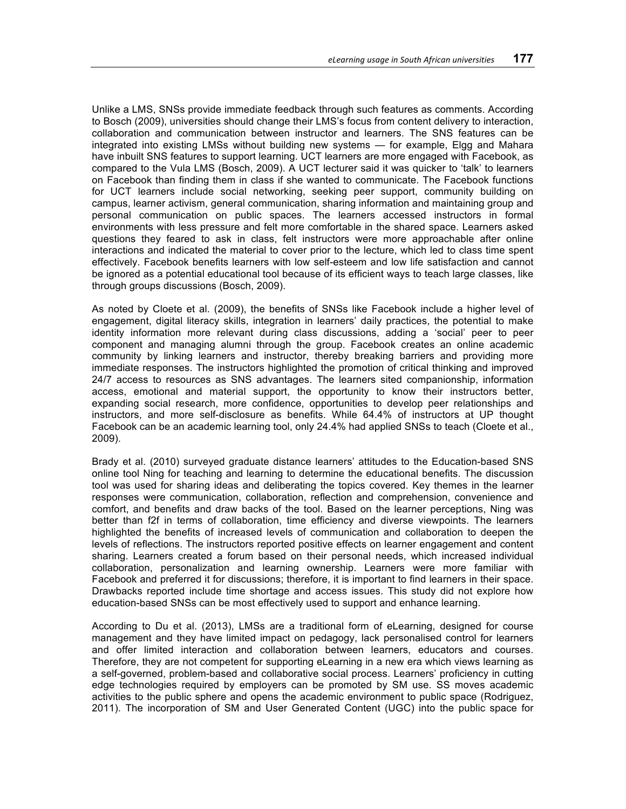Unlike a LMS, SNSs provide immediate feedback through such features as comments. According to Bosch (2009), universities should change their LMS's focus from content delivery to interaction, collaboration and communication between instructor and learners. The SNS features can be integrated into existing LMSs without building new systems — for example, Elgg and Mahara have inbuilt SNS features to support learning. UCT learners are more engaged with Facebook, as compared to the Vula LMS (Bosch, 2009). A UCT lecturer said it was quicker to 'talk' to learners on Facebook than finding them in class if she wanted to communicate. The Facebook functions for UCT learners include social networking, seeking peer support, community building on campus, learner activism, general communication, sharing information and maintaining group and personal communication on public spaces. The learners accessed instructors in formal environments with less pressure and felt more comfortable in the shared space. Learners asked questions they feared to ask in class, felt instructors were more approachable after online interactions and indicated the material to cover prior to the lecture, which led to class time spent effectively. Facebook benefits learners with low self-esteem and low life satisfaction and cannot be ignored as a potential educational tool because of its efficient ways to teach large classes, like through groups discussions (Bosch, 2009).

As noted by Cloete et al. (2009), the benefits of SNSs like Facebook include a higher level of engagement, digital literacy skills, integration in learners' daily practices, the potential to make identity information more relevant during class discussions, adding a 'social' peer to peer component and managing alumni through the group. Facebook creates an online academic community by linking learners and instructor, thereby breaking barriers and providing more immediate responses. The instructors highlighted the promotion of critical thinking and improved 24/7 access to resources as SNS advantages. The learners sited companionship, information access, emotional and material support, the opportunity to know their instructors better, expanding social research, more confidence, opportunities to develop peer relationships and instructors, and more self-disclosure as benefits. While 64.4% of instructors at UP thought Facebook can be an academic learning tool, only 24.4% had applied SNSs to teach (Cloete et al., 2009).

Brady et al. (2010) surveyed graduate distance learners' attitudes to the Education-based SNS online tool Ning for teaching and learning to determine the educational benefits. The discussion tool was used for sharing ideas and deliberating the topics covered. Key themes in the learner responses were communication, collaboration, reflection and comprehension, convenience and comfort, and benefits and draw backs of the tool. Based on the learner perceptions, Ning was better than f2f in terms of collaboration, time efficiency and diverse viewpoints. The learners highlighted the benefits of increased levels of communication and collaboration to deepen the levels of reflections. The instructors reported positive effects on learner engagement and content sharing. Learners created a forum based on their personal needs, which increased individual collaboration, personalization and learning ownership. Learners were more familiar with Facebook and preferred it for discussions; therefore, it is important to find learners in their space. Drawbacks reported include time shortage and access issues. This study did not explore how education-based SNSs can be most effectively used to support and enhance learning.

According to Du et al. (2013), LMSs are a traditional form of eLearning, designed for course management and they have limited impact on pedagogy, lack personalised control for learners and offer limited interaction and collaboration between learners, educators and courses. Therefore, they are not competent for supporting eLearning in a new era which views learning as a self-governed, problem-based and collaborative social process. Learners' proficiency in cutting edge technologies required by employers can be promoted by SM use. SS moves academic activities to the public sphere and opens the academic environment to public space (Rodriguez, 2011). The incorporation of SM and User Generated Content (UGC) into the public space for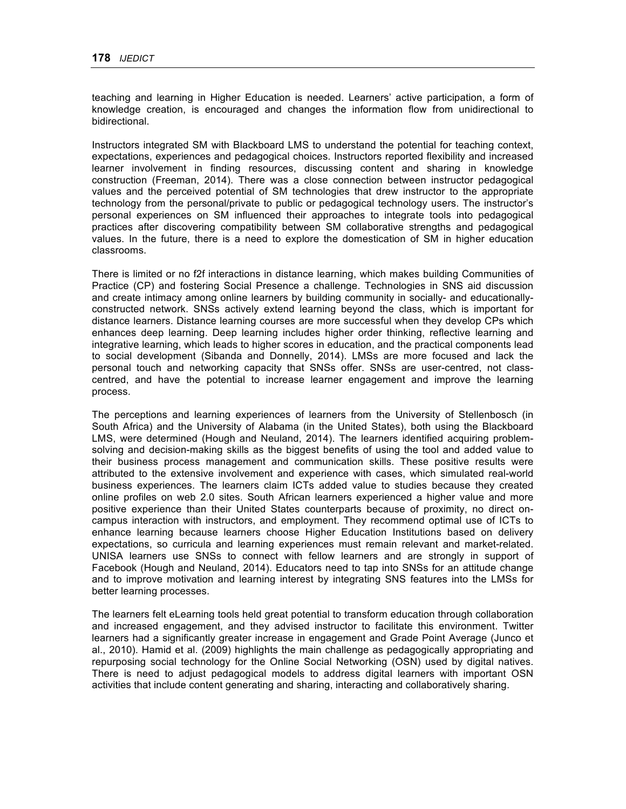teaching and learning in Higher Education is needed. Learners' active participation, a form of knowledge creation, is encouraged and changes the information flow from unidirectional to bidirectional.

Instructors integrated SM with Blackboard LMS to understand the potential for teaching context, expectations, experiences and pedagogical choices. Instructors reported flexibility and increased learner involvement in finding resources, discussing content and sharing in knowledge construction (Freeman, 2014). There was a close connection between instructor pedagogical values and the perceived potential of SM technologies that drew instructor to the appropriate technology from the personal/private to public or pedagogical technology users. The instructor's personal experiences on SM influenced their approaches to integrate tools into pedagogical practices after discovering compatibility between SM collaborative strengths and pedagogical values. In the future, there is a need to explore the domestication of SM in higher education classrooms.

There is limited or no f2f interactions in distance learning, which makes building Communities of Practice (CP) and fostering Social Presence a challenge. Technologies in SNS aid discussion and create intimacy among online learners by building community in socially- and educationallyconstructed network. SNSs actively extend learning beyond the class, which is important for distance learners. Distance learning courses are more successful when they develop CPs which enhances deep learning. Deep learning includes higher order thinking, reflective learning and integrative learning, which leads to higher scores in education, and the practical components lead to social development (Sibanda and Donnelly, 2014). LMSs are more focused and lack the personal touch and networking capacity that SNSs offer. SNSs are user-centred, not classcentred, and have the potential to increase learner engagement and improve the learning process.

The perceptions and learning experiences of learners from the University of Stellenbosch (in South Africa) and the University of Alabama (in the United States), both using the Blackboard LMS, were determined (Hough and Neuland, 2014). The learners identified acquiring problemsolving and decision-making skills as the biggest benefits of using the tool and added value to their business process management and communication skills. These positive results were attributed to the extensive involvement and experience with cases, which simulated real-world business experiences. The learners claim ICTs added value to studies because they created online profiles on web 2.0 sites. South African learners experienced a higher value and more positive experience than their United States counterparts because of proximity, no direct oncampus interaction with instructors, and employment. They recommend optimal use of ICTs to enhance learning because learners choose Higher Education Institutions based on delivery expectations, so curricula and learning experiences must remain relevant and market-related. UNISA learners use SNSs to connect with fellow learners and are strongly in support of Facebook (Hough and Neuland, 2014). Educators need to tap into SNSs for an attitude change and to improve motivation and learning interest by integrating SNS features into the LMSs for better learning processes.

The learners felt eLearning tools held great potential to transform education through collaboration and increased engagement, and they advised instructor to facilitate this environment. Twitter learners had a significantly greater increase in engagement and Grade Point Average (Junco et al., 2010). Hamid et al. (2009) highlights the main challenge as pedagogically appropriating and repurposing social technology for the Online Social Networking (OSN) used by digital natives. There is need to adjust pedagogical models to address digital learners with important OSN activities that include content generating and sharing, interacting and collaboratively sharing.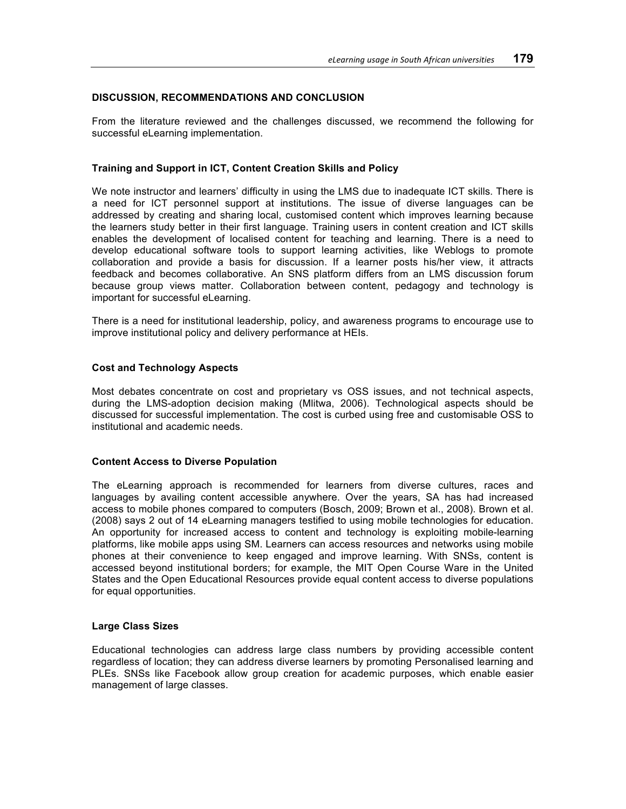# **DISCUSSION, RECOMMENDATIONS AND CONCLUSION**

From the literature reviewed and the challenges discussed, we recommend the following for successful eLearning implementation.

# **Training and Support in ICT, Content Creation Skills and Policy**

We note instructor and learners' difficulty in using the LMS due to inadequate ICT skills. There is a need for ICT personnel support at institutions. The issue of diverse languages can be addressed by creating and sharing local, customised content which improves learning because the learners study better in their first language. Training users in content creation and ICT skills enables the development of localised content for teaching and learning. There is a need to develop educational software tools to support learning activities, like Weblogs to promote collaboration and provide a basis for discussion. If a learner posts his/her view, it attracts feedback and becomes collaborative. An SNS platform differs from an LMS discussion forum because group views matter. Collaboration between content, pedagogy and technology is important for successful eLearning.

There is a need for institutional leadership, policy, and awareness programs to encourage use to improve institutional policy and delivery performance at HEIs.

## **Cost and Technology Aspects**

Most debates concentrate on cost and proprietary vs OSS issues, and not technical aspects, during the LMS-adoption decision making (Mlitwa, 2006). Technological aspects should be discussed for successful implementation. The cost is curbed using free and customisable OSS to institutional and academic needs.

### **Content Access to Diverse Population**

The eLearning approach is recommended for learners from diverse cultures, races and languages by availing content accessible anywhere. Over the years, SA has had increased access to mobile phones compared to computers (Bosch, 2009; Brown et al., 2008). Brown et al. (2008) says 2 out of 14 eLearning managers testified to using mobile technologies for education. An opportunity for increased access to content and technology is exploiting mobile-learning platforms, like mobile apps using SM. Learners can access resources and networks using mobile phones at their convenience to keep engaged and improve learning. With SNSs, content is accessed beyond institutional borders; for example, the MIT Open Course Ware in the United States and the Open Educational Resources provide equal content access to diverse populations for equal opportunities.

## **Large Class Sizes**

Educational technologies can address large class numbers by providing accessible content regardless of location; they can address diverse learners by promoting Personalised learning and PLEs. SNSs like Facebook allow group creation for academic purposes, which enable easier management of large classes.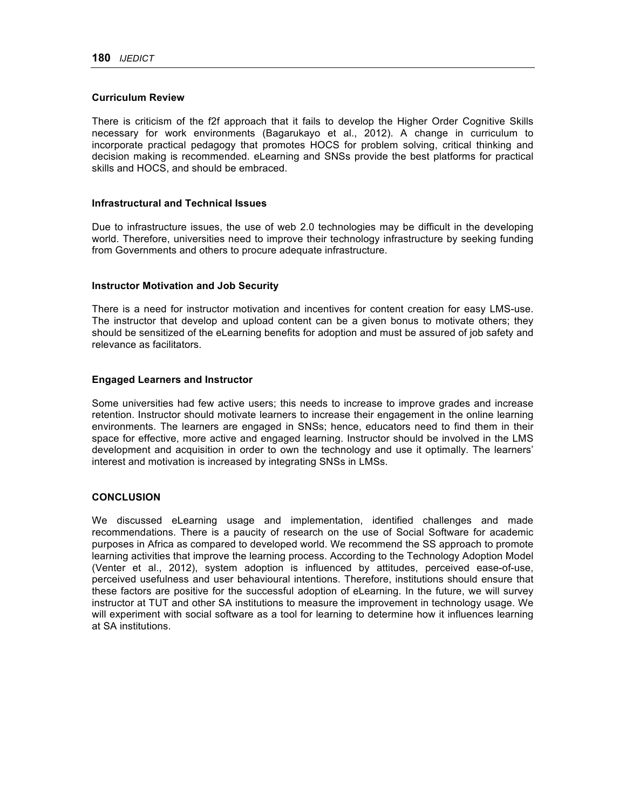### **Curriculum Review**

There is criticism of the f2f approach that it fails to develop the Higher Order Cognitive Skills necessary for work environments (Bagarukayo et al., 2012). A change in curriculum to incorporate practical pedagogy that promotes HOCS for problem solving, critical thinking and decision making is recommended. eLearning and SNSs provide the best platforms for practical skills and HOCS, and should be embraced.

#### **Infrastructural and Technical Issues**

Due to infrastructure issues, the use of web 2.0 technologies may be difficult in the developing world. Therefore, universities need to improve their technology infrastructure by seeking funding from Governments and others to procure adequate infrastructure.

### **Instructor Motivation and Job Security**

There is a need for instructor motivation and incentives for content creation for easy LMS-use. The instructor that develop and upload content can be a given bonus to motivate others; they should be sensitized of the eLearning benefits for adoption and must be assured of job safety and relevance as facilitators.

### **Engaged Learners and Instructor**

Some universities had few active users; this needs to increase to improve grades and increase retention. Instructor should motivate learners to increase their engagement in the online learning environments. The learners are engaged in SNSs; hence, educators need to find them in their space for effective, more active and engaged learning. Instructor should be involved in the LMS development and acquisition in order to own the technology and use it optimally. The learners' interest and motivation is increased by integrating SNSs in LMSs.

### **CONCLUSION**

We discussed eLearning usage and implementation, identified challenges and made recommendations. There is a paucity of research on the use of Social Software for academic purposes in Africa as compared to developed world. We recommend the SS approach to promote learning activities that improve the learning process. According to the Technology Adoption Model (Venter et al., 2012), system adoption is influenced by attitudes, perceived ease-of-use, perceived usefulness and user behavioural intentions. Therefore, institutions should ensure that these factors are positive for the successful adoption of eLearning. In the future, we will survey instructor at TUT and other SA institutions to measure the improvement in technology usage. We will experiment with social software as a tool for learning to determine how it influences learning at SA institutions.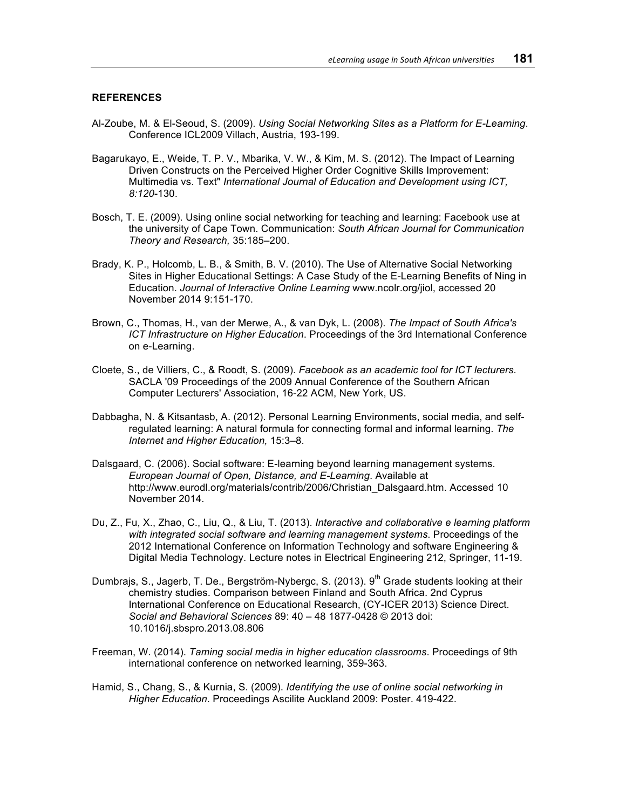### **REFERENCES**

- Al-Zoube, M. & El-Seoud, S. (2009). *Using Social Networking Sites as a Platform for E-Learning*. Conference ICL2009 Villach, Austria, 193-199.
- Bagarukayo, E., Weide, T. P. V., Mbarika, V. W., & Kim, M. S. (2012). The Impact of Learning Driven Constructs on the Perceived Higher Order Cognitive Skills Improvement: Multimedia vs. Text" *International Journal of Education and Development using ICT, 8:120*-130.
- Bosch, T. E. (2009). Using online social networking for teaching and learning: Facebook use at the university of Cape Town. Communication: *South African Journal for Communication Theory and Research,* 35:185–200.
- Brady, K. P., Holcomb, L. B., & Smith, B. V. (2010). The Use of Alternative Social Networking Sites in Higher Educational Settings: A Case Study of the E-Learning Benefits of Ning in Education. *Journal of Interactive Online Learning* www.ncolr.org/jiol, accessed 20 November 2014 9:151-170.
- Brown, C., Thomas, H., van der Merwe, A., & van Dyk, L. (2008). *The Impact of South Africa's ICT Infrastructure on Higher Education*. Proceedings of the 3rd International Conference on e-Learning.
- Cloete, S., de Villiers, C., & Roodt, S. (2009). *Facebook as an academic tool for ICT lecturers*. SACLA '09 Proceedings of the 2009 Annual Conference of the Southern African Computer Lecturers' Association, 16-22 ACM, New York, US.
- Dabbagha, N. & Kitsantasb, A. (2012). Personal Learning Environments, social media, and selfregulated learning: A natural formula for connecting formal and informal learning. *The Internet and Higher Education,* 15:3–8.
- Dalsgaard, C. (2006). Social software: E-learning beyond learning management systems. *European Journal of Open, Distance, and E-Learning*. Available at http://www.eurodl.org/materials/contrib/2006/Christian\_Dalsgaard.htm. Accessed 10 November 2014.
- Du, Z., Fu, X., Zhao, C., Liu, Q., & Liu, T. (2013). *Interactive and collaborative e learning platform with integrated social software and learning management systems*. Proceedings of the 2012 International Conference on Information Technology and software Engineering & Digital Media Technology. Lecture notes in Electrical Engineering 212, Springer, 11-19.
- Dumbrajs, S., Jagerb, T. De., Bergström-Nybergc, S. (2013).  $9<sup>th</sup>$  Grade students looking at their chemistry studies. Comparison between Finland and South Africa. 2nd Cyprus International Conference on Educational Research, (CY-ICER 2013) Science Direct. *Social and Behavioral Sciences* 89: 40 – 48 1877-0428 © 2013 doi: 10.1016/j.sbspro.2013.08.806
- Freeman, W. (2014). *Taming social media in higher education classrooms*. Proceedings of 9th international conference on networked learning, 359-363.
- Hamid, S., Chang, S., & Kurnia, S. (2009). *Identifying the use of online social networking in Higher Education*. Proceedings Ascilite Auckland 2009: Poster. 419-422.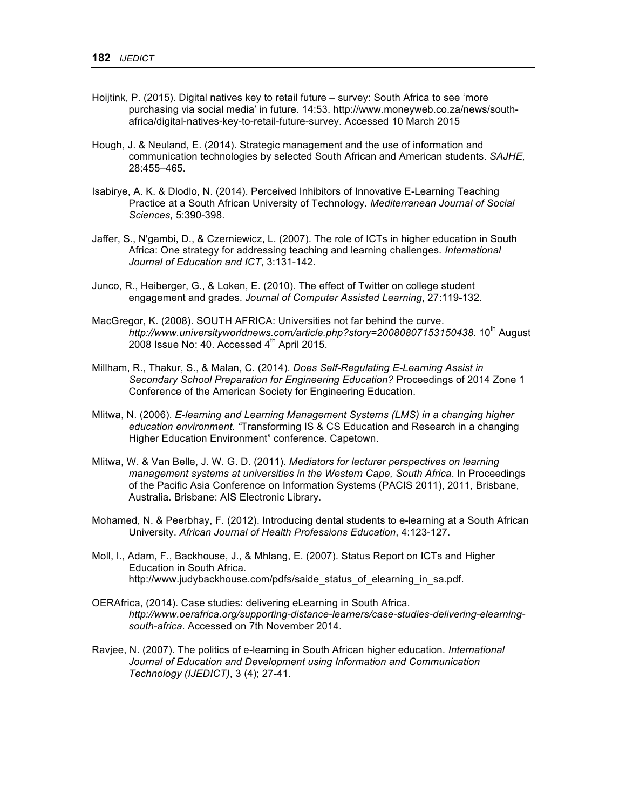- Hoijtink, P. (2015). Digital natives key to retail future survey: South Africa to see 'more purchasing via social media' in future. 14:53. http://www.moneyweb.co.za/news/southafrica/digital-natives-key-to-retail-future-survey. Accessed 10 March 2015
- Hough, J. & Neuland, E. (2014). Strategic management and the use of information and communication technologies by selected South African and American students. *SAJHE,*  28:455–465.
- Isabirye, A. K. & Dlodlo, N. (2014). Perceived Inhibitors of Innovative E-Learning Teaching Practice at a South African University of Technology. *Mediterranean Journal of Social Sciences,* 5:390-398.
- Jaffer, S., N'gambi, D., & Czerniewicz, L. (2007). The role of ICTs in higher education in South Africa: One strategy for addressing teaching and learning challenges. *International Journal of Education and ICT*, 3:131-142.
- Junco, R., Heiberger, G., & Loken, E. (2010). The effect of Twitter on college student engagement and grades. *Journal of Computer Assisted Learning*, 27:119-132.
- MacGregor, K. (2008). SOUTH AFRICA: Universities not far behind the curve. http://www.universityworldnews.com/article.php?story=20080807153150438. 10<sup>th</sup> August 2008 Issue No: 40. Accessed  $4<sup>th</sup>$  April 2015.
- Millham, R., Thakur, S., & Malan, C. (2014). *Does Self-Regulating E-Learning Assist in Secondary School Preparation for Engineering Education?* Proceedings of 2014 Zone 1 Conference of the American Society for Engineering Education.
- Mlitwa, N. (2006). *E-learning and Learning Management Systems (LMS) in a changing higher education environment. "*Transforming IS & CS Education and Research in a changing Higher Education Environment" conference. Capetown.
- Mlitwa, W. & Van Belle, J. W. G. D. (2011). *Mediators for lecturer perspectives on learning management systems at universities in the Western Cape, South Africa*. In Proceedings of the Pacific Asia Conference on Information Systems (PACIS 2011), 2011, Brisbane, Australia. Brisbane: AIS Electronic Library.
- Mohamed, N. & Peerbhay, F. (2012). Introducing dental students to e-learning at a South African University. *African Journal of Health Professions Education*, 4:123-127.
- Moll, I., Adam, F., Backhouse, J., & Mhlang, E. (2007). Status Report on ICTs and Higher Education in South Africa. http://www.judybackhouse.com/pdfs/saide\_status\_of\_elearning\_in\_sa.pdf.
- OERAfrica, (2014). Case studies: delivering eLearning in South Africa. *http://www.oerafrica.org/supporting-distance-learners/case-studies-delivering-elearningsouth-africa*. Accessed on 7th November 2014.
- Ravjee, N. (2007). The politics of e-learning in South African higher education. *International Journal of Education and Development using Information and Communication Technology (IJEDICT)*, 3 (4); 27-41.